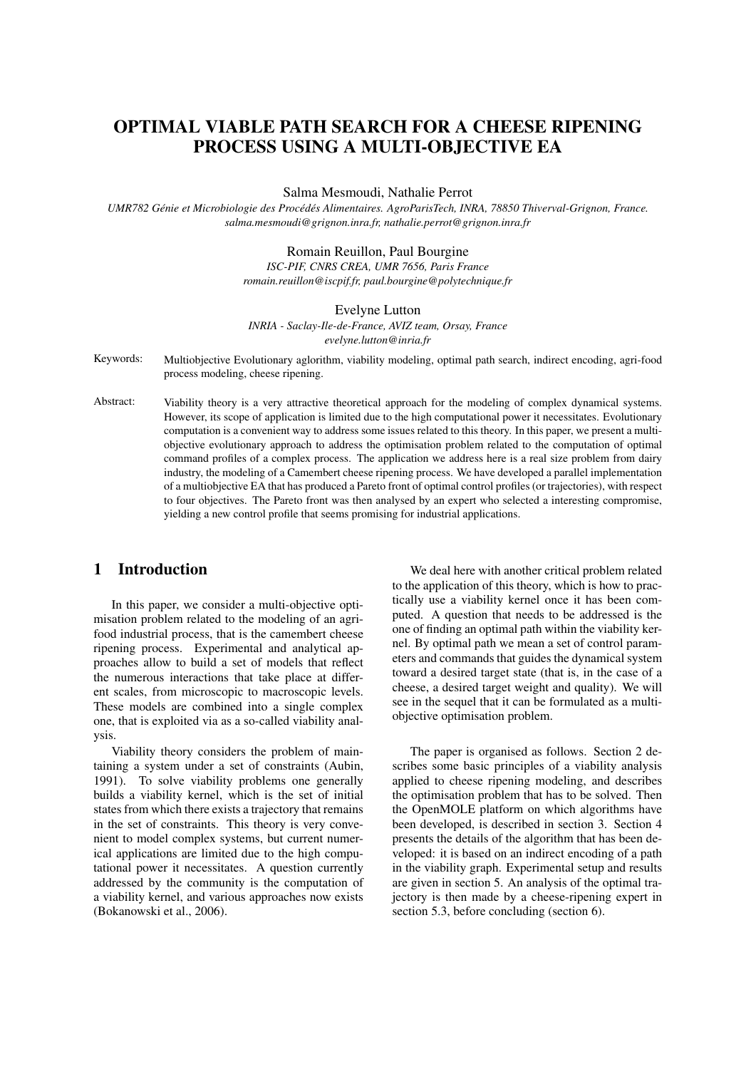# OPTIMAL VIABLE PATH SEARCH FOR A CHEESE RIPENING PROCESS USING A MULTI-OBJECTIVE EA

Salma Mesmoudi, Nathalie Perrot

*UMR782 Genie et Microbiologie des Proc ´ ed´ es Alimentaires. AgroParisTech, INRA, 78850 Thiverval-Grignon, France. ´ salma.mesmoudi@grignon.inra.fr, nathalie.perrot@grignon.inra.fr*

#### Romain Reuillon, Paul Bourgine

*ISC-PIF, CNRS CREA, UMR 7656, Paris France romain.reuillon@iscpif.fr, paul.bourgine@polytechnique.fr*

#### Evelyne Lutton

*INRIA - Saclay-Ile-de-France, AVIZ team, Orsay, France evelyne.lutton@inria.fr*

Keywords: Multiobjective Evolutionary aglorithm, viability modeling, optimal path search, indirect encoding, agri-food process modeling, cheese ripening.

Abstract: Viability theory is a very attractive theoretical approach for the modeling of complex dynamical systems. However, its scope of application is limited due to the high computational power it necessitates. Evolutionary computation is a convenient way to address some issues related to this theory. In this paper, we present a multiobjective evolutionary approach to address the optimisation problem related to the computation of optimal command profiles of a complex process. The application we address here is a real size problem from dairy industry, the modeling of a Camembert cheese ripening process. We have developed a parallel implementation of a multiobjective EA that has produced a Pareto front of optimal control profiles (or trajectories), with respect to four objectives. The Pareto front was then analysed by an expert who selected a interesting compromise, yielding a new control profile that seems promising for industrial applications.

## 1 Introduction

In this paper, we consider a multi-objective optimisation problem related to the modeling of an agrifood industrial process, that is the camembert cheese ripening process. Experimental and analytical approaches allow to build a set of models that reflect the numerous interactions that take place at different scales, from microscopic to macroscopic levels. These models are combined into a single complex one, that is exploited via as a so-called viability analysis.

Viability theory considers the problem of maintaining a system under a set of constraints (Aubin, 1991). To solve viability problems one generally builds a viability kernel, which is the set of initial states from which there exists a trajectory that remains in the set of constraints. This theory is very convenient to model complex systems, but current numerical applications are limited due to the high computational power it necessitates. A question currently addressed by the community is the computation of a viability kernel, and various approaches now exists (Bokanowski et al., 2006).

We deal here with another critical problem related to the application of this theory, which is how to practically use a viability kernel once it has been computed. A question that needs to be addressed is the one of finding an optimal path within the viability kernel. By optimal path we mean a set of control parameters and commands that guides the dynamical system toward a desired target state (that is, in the case of a cheese, a desired target weight and quality). We will see in the sequel that it can be formulated as a multiobjective optimisation problem.

The paper is organised as follows. Section 2 describes some basic principles of a viability analysis applied to cheese ripening modeling, and describes the optimisation problem that has to be solved. Then the OpenMOLE platform on which algorithms have been developed, is described in section 3. Section 4 presents the details of the algorithm that has been developed: it is based on an indirect encoding of a path in the viability graph. Experimental setup and results are given in section 5. An analysis of the optimal trajectory is then made by a cheese-ripening expert in section 5.3, before concluding (section 6).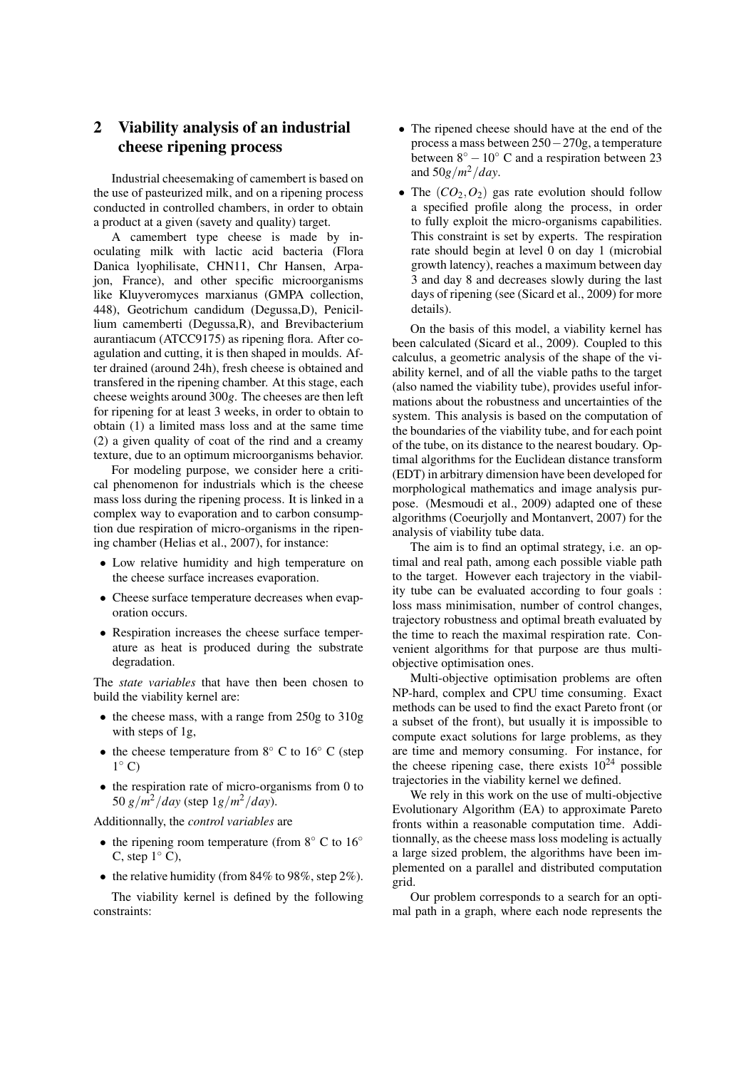## 2 Viability analysis of an industrial cheese ripening process

Industrial cheesemaking of camembert is based on the use of pasteurized milk, and on a ripening process conducted in controlled chambers, in order to obtain a product at a given (savety and quality) target.

A camembert type cheese is made by inoculating milk with lactic acid bacteria (Flora Danica lyophilisate, CHN11, Chr Hansen, Arpajon, France), and other specific microorganisms like Kluyveromyces marxianus (GMPA collection, 448), Geotrichum candidum (Degussa,D), Penicillium camemberti (Degussa,R), and Brevibacterium aurantiacum (ATCC9175) as ripening flora. After coagulation and cutting, it is then shaped in moulds. After drained (around 24h), fresh cheese is obtained and transfered in the ripening chamber. At this stage, each cheese weights around 300*g*. The cheeses are then left for ripening for at least 3 weeks, in order to obtain to obtain (1) a limited mass loss and at the same time (2) a given quality of coat of the rind and a creamy texture, due to an optimum microorganisms behavior.

For modeling purpose, we consider here a critical phenomenon for industrials which is the cheese mass loss during the ripening process. It is linked in a complex way to evaporation and to carbon consumption due respiration of micro-organisms in the ripening chamber (Helias et al., 2007), for instance:

- Low relative humidity and high temperature on the cheese surface increases evaporation.
- Cheese surface temperature decreases when evaporation occurs.
- Respiration increases the cheese surface temperature as heat is produced during the substrate degradation.

The *state variables* that have then been chosen to build the viability kernel are:

- the cheese mass, with a range from 250g to 310g with steps of 1g,
- the cheese temperature from  $8°$  C to  $16°$  C (step  $1^{\circ}$  C)
- the respiration rate of micro-organisms from 0 to 50 *g*/*m* <sup>2</sup>/*day* (step 1*g*/*m* <sup>2</sup>/*day*).

Additionnally, the *control variables* are

- the ripening room temperature (from 8° C to 16° C, step  $1°$  C),
- the relative humidity (from  $84\%$  to  $98\%$ , step  $2\%$ ).

The viability kernel is defined by the following constraints:

- The ripened cheese should have at the end of the process a mass between 250−270g, a temperature between  $8^\circ - 10^\circ$  C and a respiration between 23 and 50*g*/*m* <sup>2</sup>/*day*.
- The  $(CO_2, O_2)$  gas rate evolution should follow a specified profile along the process, in order to fully exploit the micro-organisms capabilities. This constraint is set by experts. The respiration rate should begin at level 0 on day 1 (microbial growth latency), reaches a maximum between day 3 and day 8 and decreases slowly during the last days of ripening (see (Sicard et al., 2009) for more details).

On the basis of this model, a viability kernel has been calculated (Sicard et al., 2009). Coupled to this calculus, a geometric analysis of the shape of the viability kernel, and of all the viable paths to the target (also named the viability tube), provides useful informations about the robustness and uncertainties of the system. This analysis is based on the computation of the boundaries of the viability tube, and for each point of the tube, on its distance to the nearest boudary. Optimal algorithms for the Euclidean distance transform (EDT) in arbitrary dimension have been developed for morphological mathematics and image analysis purpose. (Mesmoudi et al., 2009) adapted one of these algorithms (Coeurjolly and Montanvert, 2007) for the analysis of viability tube data.

The aim is to find an optimal strategy, i.e. an optimal and real path, among each possible viable path to the target. However each trajectory in the viability tube can be evaluated according to four goals : loss mass minimisation, number of control changes, trajectory robustness and optimal breath evaluated by the time to reach the maximal respiration rate. Convenient algorithms for that purpose are thus multiobjective optimisation ones.

Multi-objective optimisation problems are often NP-hard, complex and CPU time consuming. Exact methods can be used to find the exact Pareto front (or a subset of the front), but usually it is impossible to compute exact solutions for large problems, as they are time and memory consuming. For instance, for the cheese ripening case, there exists  $10^{24}$  possible trajectories in the viability kernel we defined.

We rely in this work on the use of multi-objective Evolutionary Algorithm (EA) to approximate Pareto fronts within a reasonable computation time. Additionnally, as the cheese mass loss modeling is actually a large sized problem, the algorithms have been implemented on a parallel and distributed computation grid.

Our problem corresponds to a search for an optimal path in a graph, where each node represents the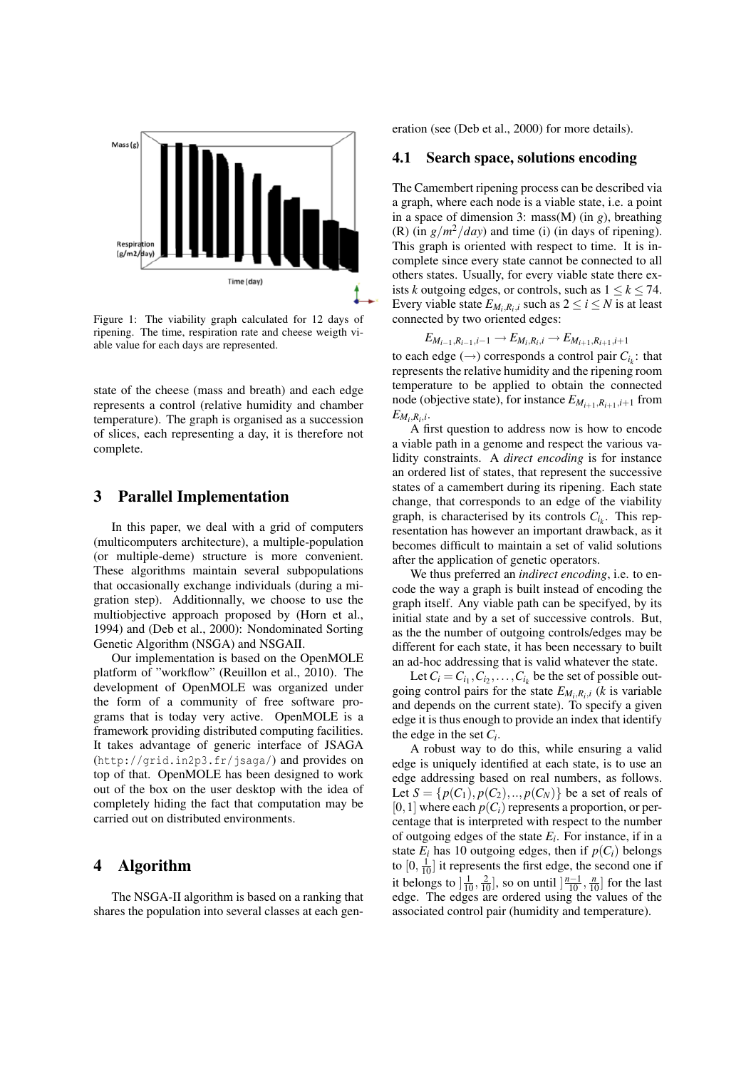

Figure 1: The viability graph calculated for 12 days of ripening. The time, respiration rate and cheese weigth viable value for each days are represented.

state of the cheese (mass and breath) and each edge represents a control (relative humidity and chamber temperature). The graph is organised as a succession of slices, each representing a day, it is therefore not complete.

#### 3 Parallel Implementation

In this paper, we deal with a grid of computers (multicomputers architecture), a multiple-population (or multiple-deme) structure is more convenient. These algorithms maintain several subpopulations that occasionally exchange individuals (during a migration step). Additionnally, we choose to use the multiobjective approach proposed by (Horn et al., 1994) and (Deb et al., 2000): Nondominated Sorting Genetic Algorithm (NSGA) and NSGAII.

Our implementation is based on the OpenMOLE platform of "workflow" (Reuillon et al., 2010). The development of OpenMOLE was organized under the form of a community of free software programs that is today very active. OpenMOLE is a framework providing distributed computing facilities. It takes advantage of generic interface of JSAGA (http://grid.in2p3.fr/jsaga/) and provides on top of that. OpenMOLE has been designed to work out of the box on the user desktop with the idea of completely hiding the fact that computation may be carried out on distributed environments.

### 4 Algorithm

The NSGA-II algorithm is based on a ranking that shares the population into several classes at each generation (see (Deb et al., 2000) for more details).

#### 4.1 Search space, solutions encoding

The Camembert ripening process can be described via a graph, where each node is a viable state, i.e. a point in a space of dimension 3: mass(M) (in *g*), breathing (R) (in  $g/m^2/day$ ) and time (i) (in days of ripening). This graph is oriented with respect to time. It is incomplete since every state cannot be connected to all others states. Usually, for every viable state there exists *k* outgoing edges, or controls, such as  $1 \leq k \leq 74$ . Every viable state  $E_{M_i,R_i,i}$  such as  $2 \le i \le N$  is at least connected by two oriented edges:

$$
E_{M_{i-1},R_{i-1},i-1} \to E_{M_i,R_i,i} \to E_{M_{i+1},R_{i+1},i+1}
$$

to each edge  $(\rightarrow)$  corresponds a control pair  $C_{i_k}$ : that represents the relative humidity and the ripening room temperature to be applied to obtain the connected node (objective state), for instance  $E_{M_{i+1},R_{i+1},i+1}$  from  $E_{M_i, R_i, i}$ .

A first question to address now is how to encode a viable path in a genome and respect the various validity constraints. A *direct encoding* is for instance an ordered list of states, that represent the successive states of a camembert during its ripening. Each state change, that corresponds to an edge of the viability graph, is characterised by its controls  $C_{i_k}$ . This representation has however an important drawback, as it becomes difficult to maintain a set of valid solutions after the application of genetic operators.

We thus preferred an *indirect encoding*, i.e. to encode the way a graph is built instead of encoding the graph itself. Any viable path can be specifyed, by its initial state and by a set of successive controls. But, as the the number of outgoing controls/edges may be different for each state, it has been necessary to built an ad-hoc addressing that is valid whatever the state.

Let  $C_i = C_{i_1}, C_{i_2}, \ldots, C_{i_k}$  be the set of possible outgoing control pairs for the state  $E_{M_i,R_i,i}$  (*k* is variable and depends on the current state). To specify a given edge it is thus enough to provide an index that identify the edge in the set  $C_i$ .

A robust way to do this, while ensuring a valid edge is uniquely identified at each state, is to use an edge addressing based on real numbers, as follows. Let  $S = \{p(C_1), p(C_2), ..., p(C_N)\}\)$  be a set of reals of  $[0,1]$  where each  $p(C_i)$  represents a proportion, or percentage that is interpreted with respect to the number of outgoing edges of the state *E<sup>i</sup>* . For instance, if in a state  $E_i$  has 10 outgoing edges, then if  $p(C_i)$  belongs to  $[0, \frac{1}{10}]$  it represents the first edge, the second one if it belongs to  $\left[\frac{1}{10}, \frac{2}{10}\right]$ , so on until  $\left[\frac{n-1}{10}, \frac{n}{10}\right]$  for the last edge. The edges are ordered using the values of the associated control pair (humidity and temperature).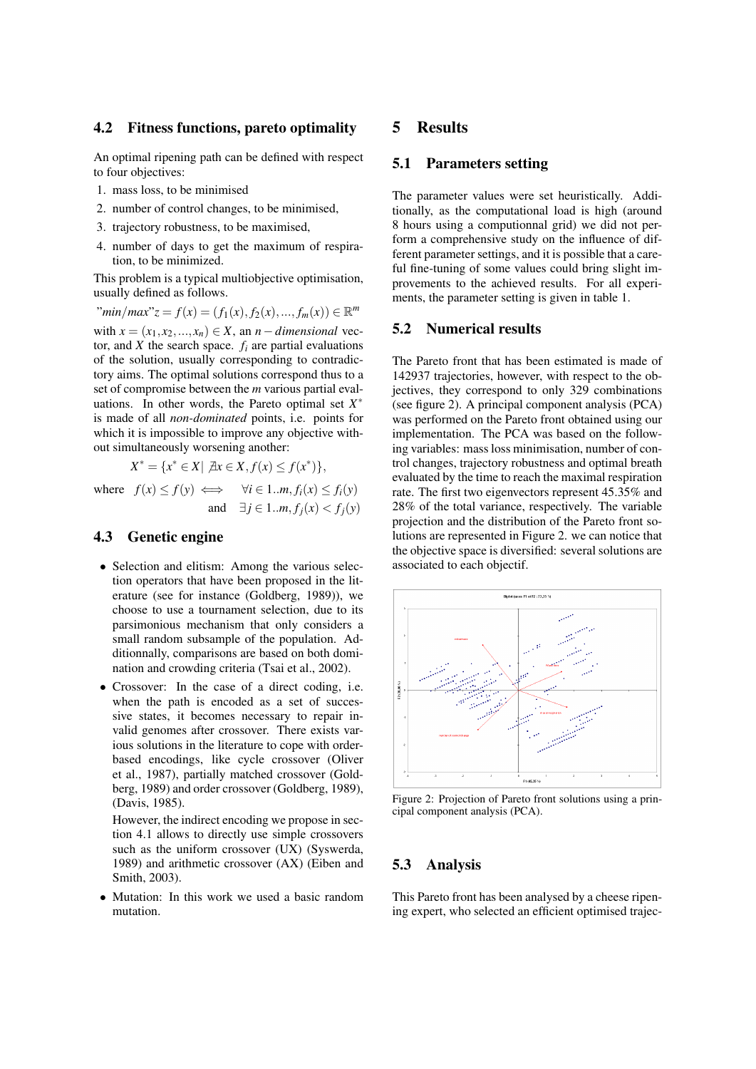#### 4.2 Fitness functions, pareto optimality

An optimal ripening path can be defined with respect to four objectives:

- 1. mass loss, to be minimised
- 2. number of control changes, to be minimised,
- 3. trajectory robustness, to be maximised,
- 4. number of days to get the maximum of respiration, to be minimized.

This problem is a typical multiobjective optimisation, usually defined as follows.

 $\lim_{x \to a} f(x) = f(x) = f(x) + f_2(x), \dots, f_m(x) \in \mathbb{R}^m$ with  $x = (x_1, x_2, ..., x_n) \in X$ , an  $n$  – dimensional vector, and  $\overline{X}$  the search space.  $f_i$  are partial evaluations of the solution, usually corresponding to contradic-

tory aims. The optimal solutions correspond thus to a set of compromise between the *m* various partial evaluations. In other words, the Pareto optimal set  $X^*$ is made of all *non-dominated* points, i.e. points for which it is impossible to improve any objective without simultaneously worsening another:

$$
X^* = \{x^* \in X | \ \nexists x \in X, f(x) \le f(x^*)\},
$$

where  $f(x) \le f(y) \iff \forall i \in 1..m, f_i(x) \le f_i(y)$ and  $∃ j ∈ 1..m, f<sub>i</sub>(x) < f<sub>i</sub>(y)$ 

## 4.3 Genetic engine

- Selection and elitism: Among the various selection operators that have been proposed in the literature (see for instance (Goldberg, 1989)), we choose to use a tournament selection, due to its parsimonious mechanism that only considers a small random subsample of the population. Additionnally, comparisons are based on both domination and crowding criteria (Tsai et al., 2002).
- Crossover: In the case of a direct coding, i.e. when the path is encoded as a set of successive states, it becomes necessary to repair invalid genomes after crossover. There exists various solutions in the literature to cope with orderbased encodings, like cycle crossover (Oliver et al., 1987), partially matched crossover (Goldberg, 1989) and order crossover (Goldberg, 1989), (Davis, 1985).

However, the indirect encoding we propose in section 4.1 allows to directly use simple crossovers such as the uniform crossover (UX) (Syswerda, 1989) and arithmetic crossover (AX) (Eiben and Smith, 2003).

• Mutation: In this work we used a basic random mutation.

#### 5 Results

#### 5.1 Parameters setting

The parameter values were set heuristically. Additionally, as the computational load is high (around 8 hours using a computionnal grid) we did not perform a comprehensive study on the influence of different parameter settings, and it is possible that a careful fine-tuning of some values could bring slight improvements to the achieved results. For all experiments, the parameter setting is given in table 1.

#### 5.2 Numerical results

The Pareto front that has been estimated is made of 142937 trajectories, however, with respect to the objectives, they correspond to only 329 combinations (see figure 2). A principal component analysis (PCA) was performed on the Pareto front obtained using our implementation. The PCA was based on the following variables: mass loss minimisation, number of control changes, trajectory robustness and optimal breath evaluated by the time to reach the maximal respiration rate. The first two eigenvectors represent 45.35% and 28% of the total variance, respectively. The variable projection and the distribution of the Pareto front solutions are represented in Figure 2. we can notice that the objective space is diversified: several solutions are associated to each objectif.



Figure 2: Projection of Pareto front solutions using a principal component analysis (PCA).

#### 5.3 Analysis

This Pareto front has been analysed by a cheese ripening expert, who selected an efficient optimised trajec-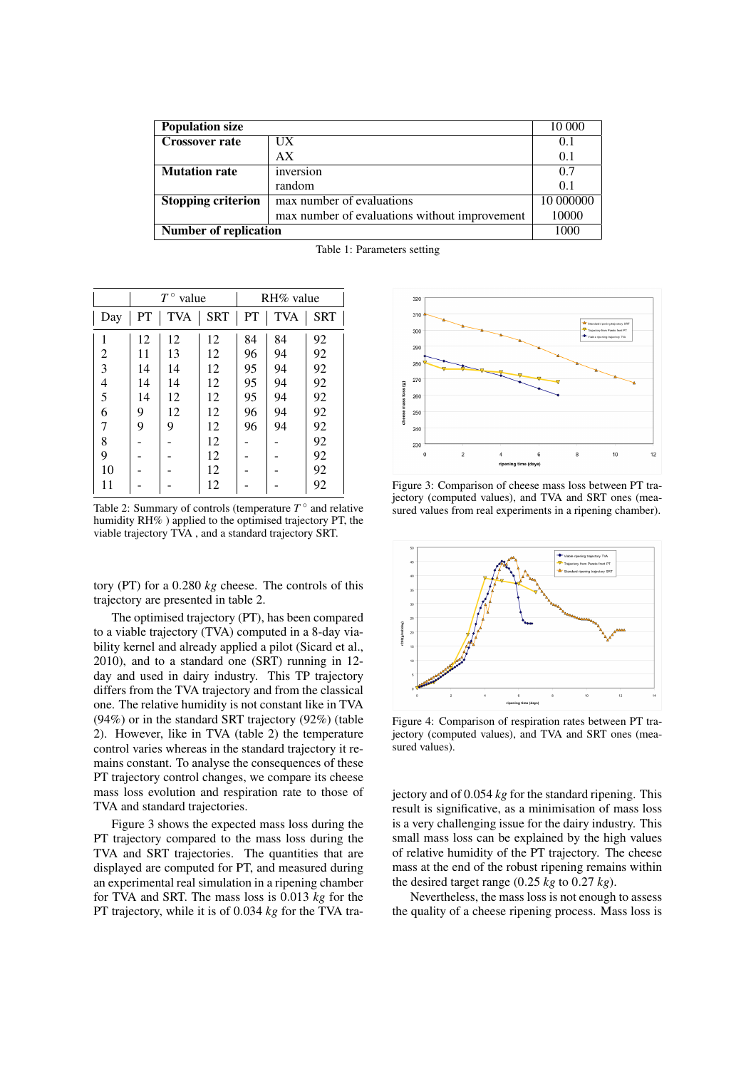| <b>Population size</b>       |                                               | 10 000    |
|------------------------------|-----------------------------------------------|-----------|
| <b>Crossover rate</b>        | UX                                            | 0.1       |
|                              | AX                                            | 0.1       |
| <b>Mutation rate</b>         | inversion                                     | 0.7       |
|                              | random                                        | 0.1       |
| <b>Stopping criterion</b>    | max number of evaluations                     | 10 000000 |
|                              | max number of evaluations without improvement | 10000     |
| <b>Number of replication</b> | 1000                                          |           |

|                | $T^{\circ}$ value |            |            | $RH\%$ value |            |            |
|----------------|-------------------|------------|------------|--------------|------------|------------|
| Day            | PT                | <b>TVA</b> | <b>SRT</b> | PT           | <b>TVA</b> | <b>SRT</b> |
| 1              | 12                | 12         | 12         | 84           | 84         | 92         |
| $\overline{2}$ | 11                | 13         | 12         | 96           | 94         | 92         |
| 3              | 14                | 14         | 12         | 95           | 94         | 92         |
| $\overline{4}$ | 14                | 14         | 12         | 95           | 94         | 92         |
| 5              | 14                | 12         | 12         | 95           | 94         | 92         |
| 6              | 9                 | 12         | 12         | 96           | 94         | 92         |
| 7              | 9                 | 9          | 12         | 96           | 94         | 92         |
| 8              |                   |            | 12         |              |            | 92         |
| 9              |                   |            | 12         |              |            | 92         |
| 10             |                   |            | 12         |              |            | 92         |
| 11             |                   |            | 12         |              |            | 92         |

Table 1: Parameters setting

Table 2: Summary of controls (temperature  $T^{\circ}$  and relative humidity RH% ) applied to the optimised trajectory PT, the viable trajectory TVA , and a standard trajectory SRT.

tory (PT) for a 0.280 *kg* cheese. The controls of this trajectory are presented in table 2.

The optimised trajectory (PT), has been compared to a viable trajectory (TVA) computed in a 8-day viability kernel and already applied a pilot (Sicard et al., 2010), and to a standard one (SRT) running in 12 day and used in dairy industry. This TP trajectory differs from the TVA trajectory and from the classical one. The relative humidity is not constant like in TVA (94%) or in the standard SRT trajectory (92%) (table 2). However, like in TVA (table 2) the temperature control varies whereas in the standard trajectory it remains constant. To analyse the consequences of these PT trajectory control changes, we compare its cheese mass loss evolution and respiration rate to those of TVA and standard trajectories.

Figure 3 shows the expected mass loss during the PT trajectory compared to the mass loss during the TVA and SRT trajectories. The quantities that are displayed are computed for PT, and measured during an experimental real simulation in a ripening chamber for TVA and SRT. The mass loss is 0.013 *kg* for the PT trajectory, while it is of 0.034 *kg* for the TVA tra-



Figure 3: Comparison of cheese mass loss between PT trajectory (computed values), and TVA and SRT ones (measured values from real experiments in a ripening chamber).



Figure 4: Comparison of respiration rates between PT trajectory (computed values), and TVA and SRT ones (measured values).

jectory and of 0.054 *kg* for the standard ripening. This result is significative, as a minimisation of mass loss is a very challenging issue for the dairy industry. This small mass loss can be explained by the high values of relative humidity of the PT trajectory. The cheese mass at the end of the robust ripening remains within the desired target range (0.25 *kg* to 0.27 *kg*).

Nevertheless, the mass loss is not enough to assess the quality of a cheese ripening process. Mass loss is